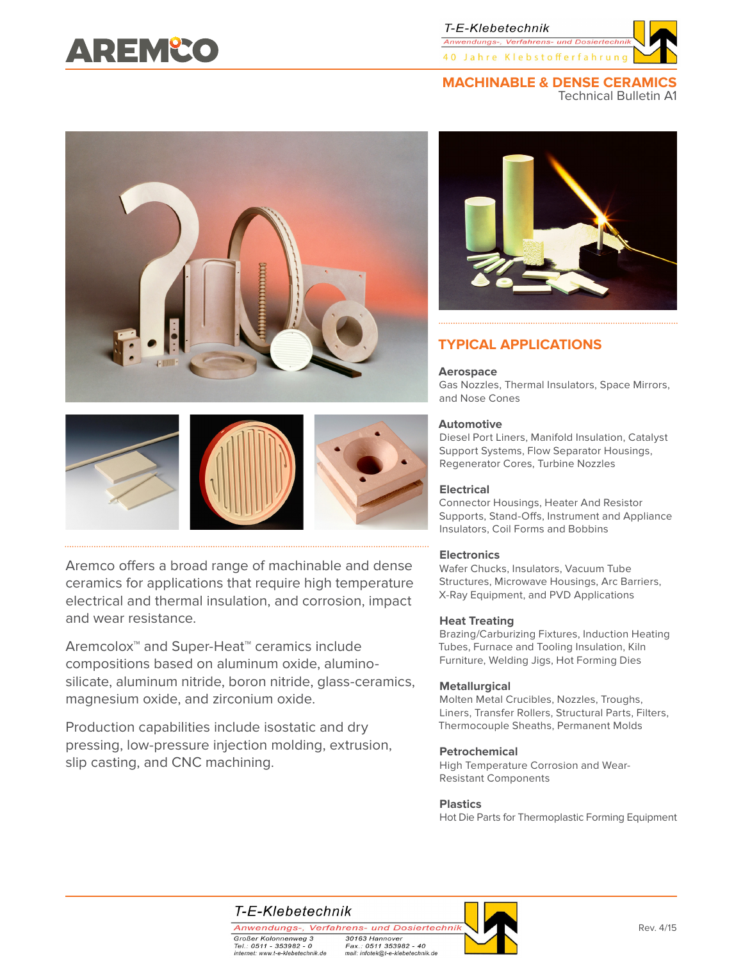# AREMCO

T-E-Klebetechnik Anwendungs-, Verfahrens- und Do 40 Jahre Klebstofferfahrun

# **MACHINABLE & DENSE CERAMICS**

Technical Bulletin A1





# **TYPICAL APPLICATIONS**

#### **Aerospace**

Gas Nozzles, Thermal Insulators, Space Mirrors, and Nose Cones

#### **Automotive**

Diesel Port Liners, Manifold Insulation, Catalyst Support Systems, Flow Separator Housings, Regenerator Cores, Turbine Nozzles

#### **Electrical**

Connector Housings, Heater And Resistor Supports, Stand-Offs, Instrument and Appliance Insulators, Coil Forms and Bobbins

#### **Electronics**

Wafer Chucks, Insulators, Vacuum Tube Structures, Microwave Housings, Arc Barriers, X-Ray Equipment, and PVD Applications

#### **Heat Treating**

Brazing/Carburizing Fixtures, Induction Heating Tubes, Furnace and Tooling Insulation, Kiln Furniture, Welding Jigs, Hot Forming Dies

#### **Metallurgical**

Molten Metal Crucibles, Nozzles, Troughs, Liners, Transfer Rollers, Structural Parts, Filters, Thermocouple Sheaths, Permanent Molds

#### **Petrochemical**

High Temperature Corrosion and Wear-Resistant Components

#### **Plastics**

Hot Die Parts for Thermoplastic Forming Equipment

Aremco offers a broad range of machinable and dense ceramics for applications that require high temperature electrical and thermal insulation, and corrosion, impact and wear resistance.

Aremcolox™ and Super-Heat™ ceramics include compositions based on aluminum oxide, aluminosilicate, aluminum nitride, boron nitride, glass-ceramics, magnesium oxide, and zirconium oxide.

Production capabilities include isostatic and dry pressing, low-pressure injection molding, extrusion, slip casting, and CNC machining.

# T-E-Klebetechnik

Anwendungs-, Verfahrens- und Dosiertechnik Großer Kolonnenweg 3 30163 Hannover Fax.: 0511 353982 - 40 Tel.: 0511 - 353982 - 0 internet: www.t-e-klebetechnik.de mail: infotek@t-e-klebetechnik.de

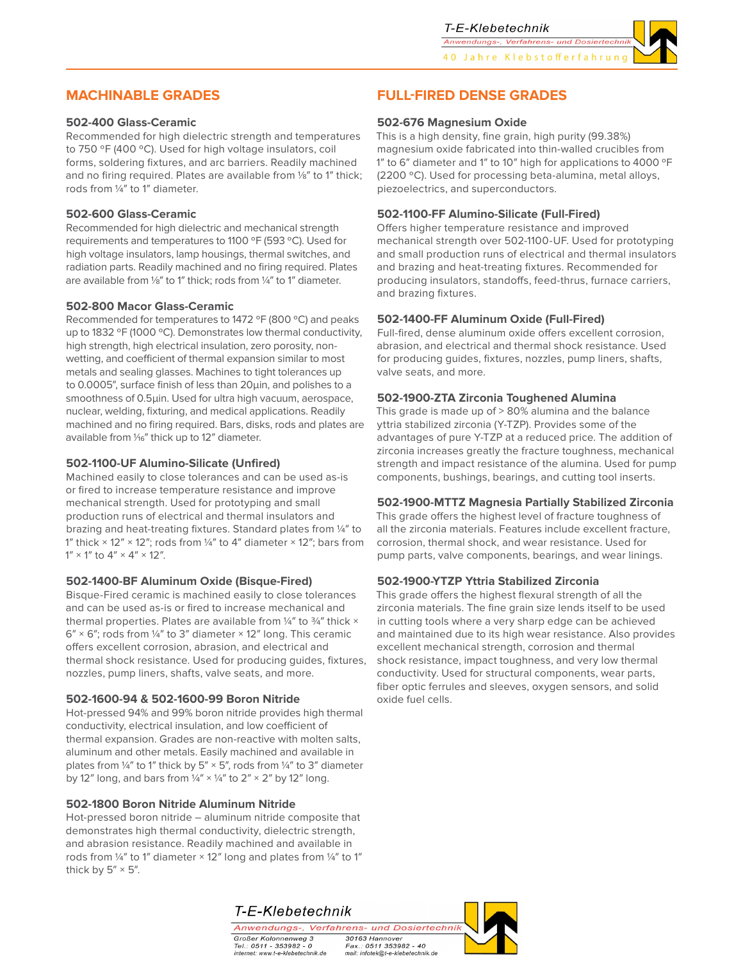

### **MACHINABLE GRADES**

#### **502-400 Glass-Ceramic**

Recommended for high dielectric strength and temperatures to 750 ºF (400 ºC). Used for high voltage insulators, coil forms, soldering fixtures, and arc barriers. Readily machined and no firing required. Plates are available from ⅛" to 1" thick; rods from ¼" to 1" diameter.

#### **502-600 Glass-Ceramic**

Recommended for high dielectric and mechanical strength requirements and temperatures to 1100 ºF (593 ºC). Used for high voltage insulators, lamp housings, thermal switches, and radiation parts. Readily machined and no firing required. Plates are available from ⅛" to 1" thick; rods from ¼" to 1" diameter.

#### **502-800 Macor Glass-Ceramic**

Recommended for temperatures to 1472 ºF (800 ºC) and peaks up to 1832 °F (1000 °C). Demonstrates low thermal conductivity, high strength, high electrical insulation, zero porosity, nonwetting, and coefficient of thermal expansion similar to most metals and sealing glasses. Machines to tight tolerances up to 0.0005", surface finish of less than 20µin, and polishes to a smoothness of 0.5µin. Used for ultra high vacuum, aerospace, nuclear, welding, fixturing, and medical applications. Readily machined and no firing required. Bars, disks, rods and plates are available from 1/<sub>16</sub>" thick up to 12" diameter.

#### **502-1100-UF Alumino-Silicate (Unfired)**

Machined easily to close tolerances and can be used as-is or fired to increase temperature resistance and improve mechanical strength. Used for prototyping and small production runs of electrical and thermal insulators and brazing and heat-treating fixtures. Standard plates from ¼" to 1" thick  $\times$  12"  $\times$  12"; rods from 1/4" to 4" diameter  $\times$  12"; bars from  $1'' \times 1''$  to  $4'' \times 4'' \times 12''$ .

#### **502-1400-BF Aluminum Oxide (Bisque-Fired)**

Bisque-Fired ceramic is machined easily to close tolerances and can be used as-is or fired to increase mechanical and thermal properties. Plates are available from  $\frac{1}{4}$ " to  $\frac{3}{4}$ " thick  $\times$  $6'' \times 6''$ ; rods from 1/4" to 3" diameter  $\times$  12" long. This ceramic offers excellent corrosion, abrasion, and electrical and thermal shock resistance. Used for producing guides, fixtures, nozzles, pump liners, shafts, valve seats, and more.

#### **502-1600-94 & 502-1600-99 Boron Nitride**

Hot-pressed 94% and 99% boron nitride provides high thermal conductivity, electrical insulation, and low coefficient of thermal expansion. Grades are non-reactive with molten salts, aluminum and other metals. Easily machined and available in plates from  $\frac{1}{4}$ " to 1" thick by 5"  $\times$  5", rods from  $\frac{1}{4}$ " to 3" diameter by 12" long, and bars from  $\frac{1}{4}$ " ×  $\frac{1}{4}$ " to 2" × 2" by 12" long.

#### **502-1800 Boron Nitride Aluminum Nitride**

Hot-pressed boron nitride – aluminum nitride composite that demonstrates high thermal conductivity, dielectric strength, and abrasion resistance. Readily machined and available in rods from ¼" to 1" diameter × 12" long and plates from ¼" to 1" thick by  $5'' \times 5''$ .

## **FULL-FIRED DENSE GRADES**

#### **502-676 Magnesium Oxide**

This is a high density, fine grain, high purity (99.38%) magnesium oxide fabricated into thin-walled crucibles from 1" to 6" diameter and 1" to 10" high for applications to 4000 ºF (2200 ºC). Used for processing beta-alumina, metal alloys, piezoelectrics, and superconductors.

#### **502-1100-FF Alumino-Silicate (Full-Fired)**

Offers higher temperature resistance and improved mechanical strength over 502-1100-UF. Used for prototyping and small production runs of electrical and thermal insulators and brazing and heat-treating fixtures. Recommended for producing insulators, standoffs, feed-thrus, furnace carriers, and brazing fixtures.

#### **502-1400-FF Aluminum Oxide (Full-Fired)**

Full-fired, dense aluminum oxide offers excellent corrosion, abrasion, and electrical and thermal shock resistance. Used for producing guides, fixtures, nozzles, pump liners, shafts, valve seats, and more.

#### **502-1900-ZTA Zirconia Toughened Alumina**

This grade is made up of > 80% alumina and the balance yttria stabilized zirconia (Y-TZP). Provides some of the advantages of pure Y-TZP at a reduced price. The addition of zirconia increases greatly the fracture toughness, mechanical strength and impact resistance of the alumina. Used for pump components, bushings, bearings, and cutting tool inserts.

#### **502-1900-MTTZ Magnesia Partially Stabilized Zirconia**

This grade offers the highest level of fracture toughness of all the zirconia materials. Features include excellent fracture, corrosion, thermal shock, and wear resistance. Used for pump parts, valve components, bearings, and wear linings.

#### **502-1900-YTZP Yttria Stabilized Zirconia**

This grade offers the highest flexural strength of all the zirconia materials. The fine grain size lends itself to be used in cutting tools where a very sharp edge can be achieved and maintained due to its high wear resistance. Also provides excellent mechanical strength, corrosion and thermal shock resistance, impact toughness, and very low thermal conductivity. Used for structural components, wear parts, fiber optic ferrules and sleeves, oxygen sensors, and solid oxide fuel cells.

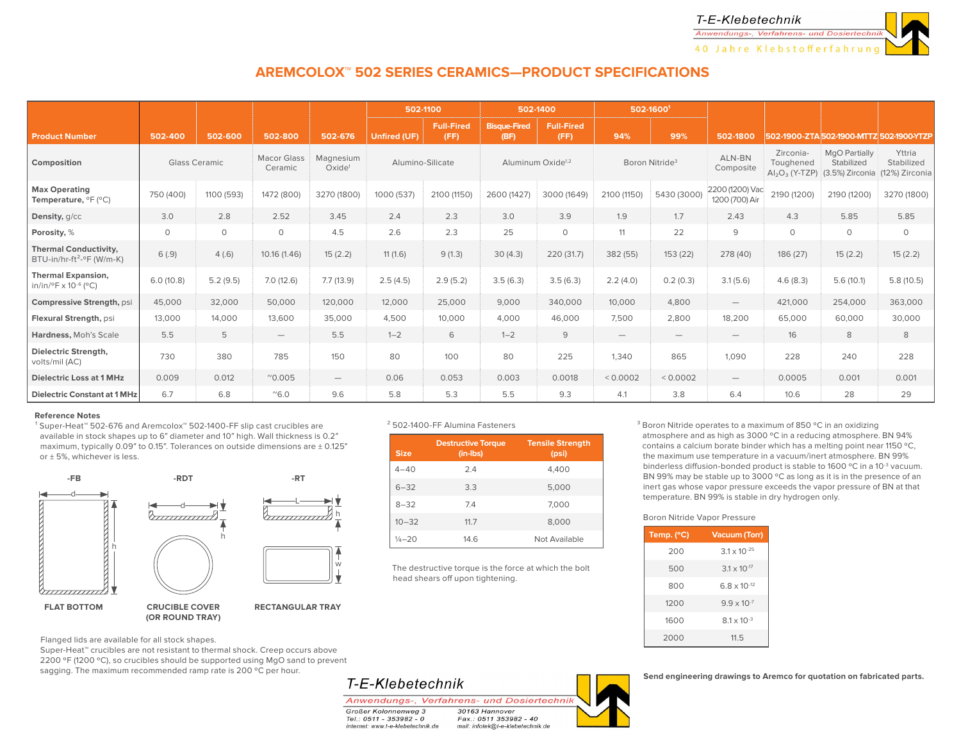

# **AREMCOLOX™ 502 SERIES CERAMICS—PRODUCT SPECIFICATIONS**

|                                                                                |           |                      |                               |                                 |                     | 502-1100                  |                             | 502-1400                      |                                 | 502-16001                       |                                   |                                                           |                                                       |                                        |
|--------------------------------------------------------------------------------|-----------|----------------------|-------------------------------|---------------------------------|---------------------|---------------------------|-----------------------------|-------------------------------|---------------------------------|---------------------------------|-----------------------------------|-----------------------------------------------------------|-------------------------------------------------------|----------------------------------------|
| <b>Product Number</b>                                                          | 502-400   | 502-600              | 502-800                       | 502-676                         | <b>Unfired (UF)</b> | <b>Full-Fired</b><br>(FF) | <b>Bisque-Fired</b><br>(BF) | Full-Fired<br>(FF)            | 94%                             | 99%                             | 502-1800                          |                                                           | 502-1900-ZTA 502-1900-MTTZ 502-1900-YTZF              |                                        |
| Composition                                                                    |           | <b>Glass Ceramic</b> | <b>Macor Glass</b><br>Ceramic | Magnesium<br>Oxide <sup>1</sup> |                     | Alumino-Silicate          |                             | Aluminum Oxide <sup>1,2</sup> |                                 | Boron Nitride <sup>3</sup>      | ALN-BN<br>Composite               | Zirconia-<br>Toughened<br>$\text{Al}_2\text{O}_3$ (Y-TZP) | <b>MgO Partially</b><br>Stabilized<br>(3.5%) Zirconia | Yttria<br>Stabilized<br>(12%) Zirconia |
| <b>Max Operating</b><br>Temperature, ${}^{\circ}$ F ( ${}^{\circ}$ C)          | 750 (400) | 1100 (593)           | 1472 (800)                    | 3270 (1800)                     | 1000 (537)          | 2100 (1150)               | 2600 (1427)                 | 3000 (1649)                   | 2100 (1150)                     | 5430 (3000)                     | 2200 (1200) Vac<br>1200 (700) Air | 2190 (1200)                                               | 2190 (1200)                                           | 3270 (1800)                            |
| Density, g/cc                                                                  | 3.0       | 2.8                  | 2.52                          | 3.45                            | 2.4                 | 2.3                       | 3.0                         | 3.9                           | 1.9                             | 1.7                             | 2.43                              | 4.3                                                       | 5.85                                                  | 5.85                                   |
| Porosity, %                                                                    | $\circ$   | $\circ$              | $\circ$                       | 4.5                             | 2.6                 | 2.3                       | 25                          | $\circ$                       | 11                              | 22                              | 9                                 | 0                                                         | $\circ$                                               | $\circ$                                |
| <b>Thermal Conductivity,</b><br>$BTU-in/hr-ft2-°F (W/m-K)$                     | 6(.9)     | 4(.6)                | 10.16 (1.46)                  | 15(2.2)                         | 11(1.6)             | 9(1.3)                    | 30(4.3)                     | 220 (31.7)                    | 382 (55)                        | 153 (22)                        | 278 (40)                          | 186 (27)                                                  | 15(2.2)                                               | 15(2.2)                                |
| <b>Thermal Expansion,</b><br>in/in/ $\rm{°F}$ x 10 <sup>-6</sup> ( $\rm{°C}$ ) | 6.0(10.8) | 5.2(9.5)             | 7.0(12.6)                     | 7.7(13.9)                       | 2.5(4.5)            | 2.9(5.2)                  | 3.5(6.3)                    | 3.5(6.3)                      | 2.2(4.0)                        | 0.2(0.3)                        | 3.1(5.6)                          | 4.6(8.3)                                                  | 5.6(10.1)                                             | 5.8(10.5)                              |
| Compressive Strength, psi                                                      | 45,000    | 32,000               | 50,000                        | 120,000                         | 12,000              | 25,000                    | 9,000                       | 340,000                       | 10,000                          | 4,800                           | $\overline{\phantom{0}}$          | 421,000                                                   | 254,000                                               | 363,000                                |
| Flexural Strength, psi                                                         | 13,000    | 14,000               | 13,600                        | 35,000                          | 4,500               | 10,000                    | 4,000                       | 46,000                        | 7,500                           | 2,800                           | 18,200                            | 65,000                                                    | 60,000                                                | 30,000                                 |
| Hardness, Moh's Scale                                                          | 5.5       | 5                    | $\overline{\phantom{0}}$      | 5.5                             | $1 - 2$             | 6                         | $1 - 2$                     | 9                             | $\hspace{0.1mm}-\hspace{0.1mm}$ | $\hspace{0.1mm}-\hspace{0.1mm}$ | $\hspace{0.1mm}-\hspace{0.1mm}$   | 16                                                        | 8                                                     | 8                                      |
| <b>Dielectric Strenath.</b><br>volts/mil (AC)                                  | 730       | 380                  | 785                           | 150                             | 80                  | 100                       | 80                          | 225                           | 1,340                           | 865                             | 1,090                             | 228                                                       | 240                                                   | 228                                    |
| <b>Dielectric Loss at 1 MHz</b>                                                | 0.009     | 0.012                | $^{\prime\prime}$ 0.005       | $\overline{\phantom{0}}$        | 0.06                | 0.053                     | 0.003                       | 0.0018                        | < 0.0002                        | < 0.0002                        | $\hspace{0.1mm}-\hspace{0.1mm}$   | 0.0005                                                    | 0.001                                                 | 0.001                                  |
| <b>Dielectric Constant at 1 MHz</b>                                            | 6.7       | 6.8                  | $^{\sim}6.0$                  | 9.6                             | 5.8                 | 5.3                       | 5.5                         | 9.3                           | 4.1                             | 3.8                             | 6.4                               | 10.6                                                      | 28                                                    | 29                                     |

#### **Reference Notes**

<sup>1</sup> Super-Heat™ 502-676 and Aremcolox™ 502-1400-FF slip cast crucibles are available in stock shapes up to 6" diameter and 10" high. Wall thickness is 0.2" maximum, typically 0.09" to 0.15". Tolerances on outside dimensions are  $\pm$  0.125" or ± 5%, whichever is less.



**(OR ROUND TRAY)**

Flanged lids are available for all stock shapes.

Super-Heat™ crucibles are not resistant to thermal shock. Creep occurs above 2200 ºF (1200 ºC), so crucibles should be supported using MgO sand to prevent sagging. The maximum recommended ramp rate is 200 °C per hour.

#### ² 502-1400-FF Alumina Fasteners

| <b>Size</b>        | <b>Destructive Torque</b><br>$(in-lbs)$ | <b>Tensile Strength</b><br>(psi) |
|--------------------|-----------------------------------------|----------------------------------|
| $4 - 40$           | 2.4                                     | 4.400                            |
| $6 - 32$           | 3.3                                     | 5,000                            |
| $8 - 32$           | 7.4                                     | 7.000                            |
| $10 - 32$          | 11.7                                    | 8,000                            |
| $\frac{1}{4} - 20$ | 14.6                                    | Not Available                    |

The destructive torque is the force at which the bolt head shears off upon tightening.

<sup>3</sup> Boron Nitride operates to a maximum of 850 °C in an oxidizing atmosphere and as high as 3000 ºC in a reducing atmosphere. BN 94% contains a calcium borate binder which has a melting point near 1150 ºC, the maximum use temperature in a vacuum/inert atmosphere. BN 99% binderless diffusion-bonded product is stable to 1600 °C in a 10<sup>-3</sup> vacuum. BN 99% may be stable up to 3000 ºC as long as it is in the presence of an inert gas whose vapor pressure exceeds the vapor pressure of BN at that temperature. BN 99% is stable in dry hydrogen only.

#### Boron Nitride Vapor Pressure

| Temp. (°C) | <b>Vacuum (Torr)</b>  |
|------------|-----------------------|
| 200        | $31 \times 10^{-25}$  |
| 500        | $3.1 \times 10^{-17}$ |
| 800        | $6.8 \times 10^{-12}$ |
| 1200       | $9.9 \times 10^{-7}$  |
| 1600       | $81 \times 10^{-3}$   |
| 2000       | 11.5                  |

**Send engineering drawings to Aremco for quotation on fabricated parts.**

# T-E-Klebetechnik

Anwendungs-, Verfahrens- und Dosiertechnik

**Großer Kolonnenweg 3** Tel.: 0511 - 353982 - 0 internet: www.t-e-klebetechnik.de

30163 Hannover  $Fax: 0511 353982 - 40$ mail: infotek@t-e-klebetechnik.de